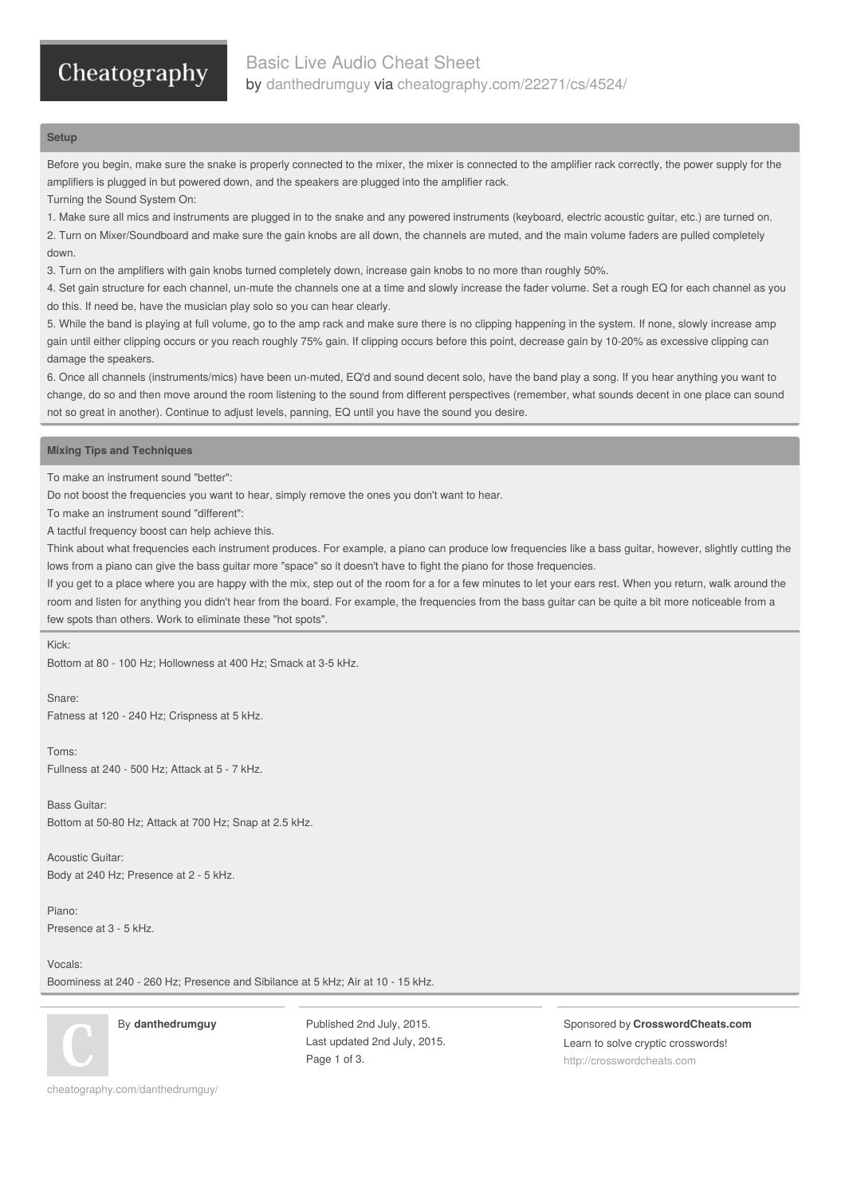# Cheatography

## **Setup**

Before you begin, make sure the snake is properly connected to the mixer, the mixer is connected to the amplifier rack correctly, the power supply for the amplifiers is plugged in but powered down, and the speakers are plugged into the amplifier rack.

Turning the Sound System On:

1. Make sure all mics and instruments are plugged in to the snake and any powered instruments (keyboard, electric acoustic guitar, etc.) are turned on.

2. Turn on Mixer/Soundboard and make sure the gain knobs are all down, the channels are muted, and the main volume faders are pulled completely down.

3. Turn on the amplifiers with gain knobs turned completely down, increase gain knobs to no more than roughly 50%.

4. Set gain structure for each channel, un-mute the channels one at a time and slowly increase the fader volume. Set a rough EQ for each channel as you do this. If need be, have the musician play solo so you can hear clearly.

5. While the band is playing at full volume, go to the amp rack and make sure there is no clipping happening in the system. If none, slowly increase amp gain until either clipping occurs or you reach roughly 75% gain. If clipping occurs before this point, decrease gain by 10-20% as excessive clipping can damage the speakers.

6. Once all channels (instruments/mics) have been un-muted, EQ'd and sound decent solo, have the band play a song. If you hear anything you want to change, do so and then move around the room listening to the sound from different perspectives (remember, what sounds decent in one place can sound not so great in another). Continue to adjust levels, panning, EQ until you have the sound you desire.

## **Mixing Tips and Techniques**

To make an instrument sound "better":

Do not boost the frequencies you want to hear, simply remove the ones you don't want to hear.

To make an instrument sound "different":

A tactful frequency boost can help achieve this.

Think about what frequencies each instrument produces. For example, a piano can produce low frequencies like a bass guitar, however, slightly cutting the lows from a piano can give the bass guitar more "space" so it doesn't have to fight the piano for those frequencies.

If you get to a place where you are happy with the mix, step out of the room for a for a few minutes to let your ears rest. When you return, walk around the room and listen for anything you didn't hear from the board. For example, the frequencies from the bass guitar can be quite a bit more noticeable from a few spots than others. Work to eliminate these "hot spots".

## Kick:

Bottom at 80 - 100 Hz; Hollowness at 400 Hz; Smack at 3-5 kHz.

Snare:

Fatness at 120 - 240 Hz; Crispness at 5 kHz.

Toms: Fullness at 240 - 500 Hz; Attack at 5 - 7 kHz.

Bass Guitar: Bottom at 50-80 Hz; Attack at 700 Hz; Snap at 2.5 kHz.

Acoustic Guitar: Body at 240 Hz; Presence at 2 - 5 kHz.

Piano: Presence at 3 - 5 kHz.

Vocals:

Boominess at 240 - 260 Hz; Presence and Sibilance at 5 kHz; Air at 10 - 15 kHz.

By **danthedrumguy**

Published 2nd July, 2015. Last updated 2nd July, 2015. Page 1 of 3.

Sponsored by **CrosswordCheats.com** Learn to solve cryptic crosswords! <http://crosswordcheats.com>

[cheatography.com/danthedrumguy/](http://www.cheatography.com/danthedrumguy/)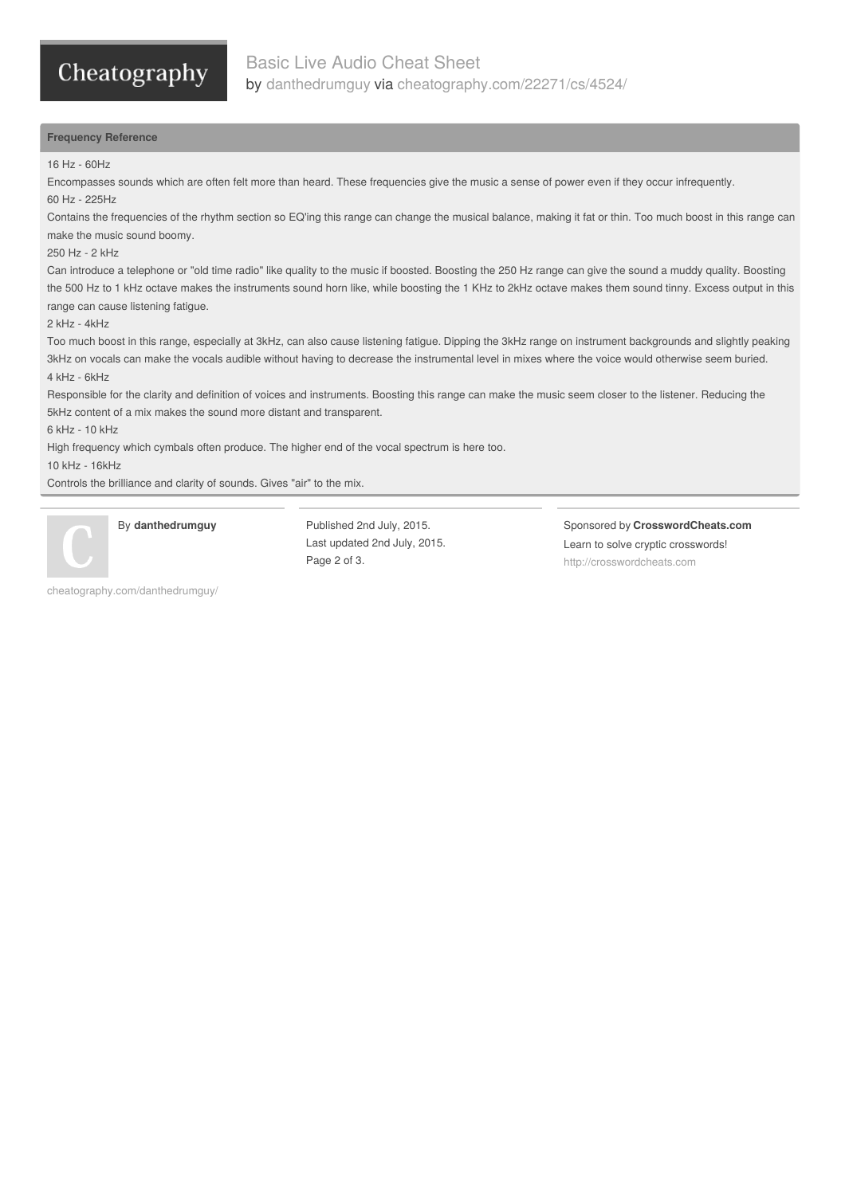# Cheatography

# **Frequency Reference**

#### 16 Hz - 60Hz

Encompasses sounds which are often felt more than heard. These frequencies give the music a sense of power even if they occur infrequently. 60 Hz - 225Hz

Contains the frequencies of the rhythm section so EQ'ing this range can change the musical balance, making it fat or thin. Too much boost in this range can make the music sound boomy.

#### 250 Hz - 2 kHz

Can introduce a telephone or "old time radio" like quality to the music if boosted. Boosting the 250 Hz range can give the sound a muddy quality. Boosting the 500 Hz to 1 kHz octave makes the instruments sound horn like, while boosting the 1 KHz to 2kHz octave makes them sound tinny. Excess output in this range can cause listening fatigue.

#### 2 kHz - 4kHz

Too much boost in this range, especially at 3kHz, can also cause listening fatigue. Dipping the 3kHz range on instrument backgrounds and slightly peaking 3kHz on vocals can make the vocals audible without having to decrease the instrumental level in mixes where the voice would otherwise seem buried. 4 kHz - 6kHz

Responsible for the clarity and definition of voices and instruments. Boosting this range can make the music seem closer to the listener. Reducing the 5kHz content of a mix makes the sound more distant and transparent.

#### 6 kHz - 10 kHz

High frequency which cymbals often produce. The higher end of the vocal spectrum is here too.

10 kHz - 16kHz

Controls the brilliance and clarity of sounds. Gives "air" to the mix.



## By **danthedrumguy**

[cheatography.com/danthedrumguy/](http://www.cheatography.com/danthedrumguy/)

Published 2nd July, 2015. Last updated 2nd July, 2015. Page 2 of 3.

Sponsored by **CrosswordCheats.com** Learn to solve cryptic crosswords! <http://crosswordcheats.com>